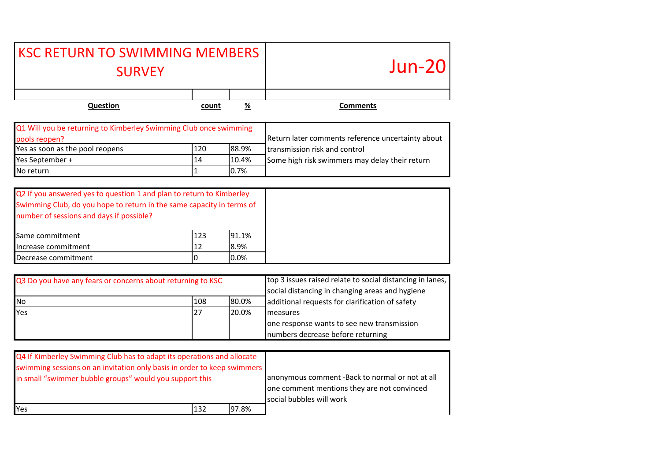| <b>KSC RETURN TO SWIMMING MEMBERS</b><br><b>SURVEY</b>                                                                                                                                                                                                     |                |                       | $Jun-20$                                                                                                                                                        |
|------------------------------------------------------------------------------------------------------------------------------------------------------------------------------------------------------------------------------------------------------------|----------------|-----------------------|-----------------------------------------------------------------------------------------------------------------------------------------------------------------|
| Question                                                                                                                                                                                                                                                   | count          | %                     | <b>Comments</b>                                                                                                                                                 |
| Q1 Will you be returning to Kimberley Swimming Club once swimming<br>pools reopen?                                                                                                                                                                         |                |                       | Return later comments reference uncertainty about                                                                                                               |
| Yes as soon as the pool reopens                                                                                                                                                                                                                            | 120            | 88.9%                 | transmission risk and control                                                                                                                                   |
| Yes September +                                                                                                                                                                                                                                            | 14             | 10.4%                 | Some high risk swimmers may delay their return                                                                                                                  |
| No return                                                                                                                                                                                                                                                  | $\mathbf{1}$   | 0.7%                  |                                                                                                                                                                 |
| Q2 If you answered yes to question 1 and plan to return to Kimberley<br>Swimming Club, do you hope to return in the same capacity in terms of<br>number of sessions and days if possible?<br>Same commitment<br>Increase commitment<br>Decrease commitment | 123<br>12<br>0 | 91.1%<br>8.9%<br>0.0% |                                                                                                                                                                 |
| Q3 Do you have any fears or concerns about returning to KSC<br>No                                                                                                                                                                                          | 108            | 80.0%                 | top 3 issues raised relate to social distancing in lanes,<br>social distancing in changing areas and hygiene<br>additional requests for clarification of safety |
| Yes                                                                                                                                                                                                                                                        | 27             | 20.0%                 | measures<br>one response wants to see new transmission                                                                                                          |

| Q4 If Kimberley Swimming Club has to adapt its operations and allocate  |     |       |                                                                                                                            |
|-------------------------------------------------------------------------|-----|-------|----------------------------------------------------------------------------------------------------------------------------|
| swimming sessions on an invitation only basis in order to keep swimmers |     |       |                                                                                                                            |
| in small "swimmer bubble groups" would you support this                 |     |       | anonymous comment -Back to normal or not at all<br>one comment mentions they are not convinced<br>social bubbles will work |
| Yes                                                                     | 132 | 97.8% |                                                                                                                            |

numbers decrease before returning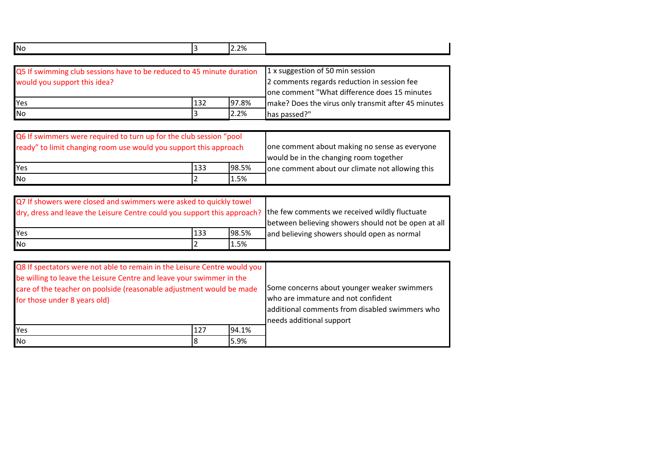| <b>No</b>                                                                                             |     | 2.2%  |                                                                                                                                 |
|-------------------------------------------------------------------------------------------------------|-----|-------|---------------------------------------------------------------------------------------------------------------------------------|
| Q5 If swimming club sessions have to be reduced to 45 minute duration<br>would you support this idea? |     |       | 1 x suggestion of 50 min session<br>2 comments regards reduction in session fee<br>one comment "What difference does 15 minutes |
| Yes                                                                                                   | 132 | 97.8% | make? Does the virus only transmit after 45 minutes                                                                             |
| <b>No</b>                                                                                             |     | 2.2%  | has passed?"                                                                                                                    |

| Q6 If swimmers were required to turn up for the club session "pool<br>ready" to limit changing room use would you support this approach | one comment about making no sense as everyone<br>would be in the changing room together<br>one comment about our climate not allowing this |      |  |
|-----------------------------------------------------------------------------------------------------------------------------------------|--------------------------------------------------------------------------------------------------------------------------------------------|------|--|
| <b>I</b> Yes<br>98.5%<br>133                                                                                                            |                                                                                                                                            |      |  |
| <b>INo</b>                                                                                                                              |                                                                                                                                            | 1.5% |  |

| Q7 If showers were closed and swimmers were asked to quickly towel                                                      |     |       |                                                     |
|-------------------------------------------------------------------------------------------------------------------------|-----|-------|-----------------------------------------------------|
| dry, dress and leave the Leisure Centre could you support this approach? Ithe few comments we received wildly fluctuate |     |       |                                                     |
|                                                                                                                         |     |       | between believing showers should not be open at all |
| <b>Yes</b>                                                                                                              | 133 | 98.5% | and believing showers should open as normal         |
| <b>No</b>                                                                                                               |     | 1.5%  |                                                     |

| Q8 If spectators were not able to remain in the Leisure Centre would you<br>be willing to leave the Leisure Centre and leave your swimmer in the<br>care of the teacher on poolside (reasonable adjustment would be made<br>for those under 8 years old) | Some concerns about younger weaker swimmers<br>who are immature and not confident<br>additional comments from disabled swimmers who<br>needs additional support |       |  |
|----------------------------------------------------------------------------------------------------------------------------------------------------------------------------------------------------------------------------------------------------------|-----------------------------------------------------------------------------------------------------------------------------------------------------------------|-------|--|
| Yes                                                                                                                                                                                                                                                      | 127                                                                                                                                                             | 94.1% |  |
| <b>No</b><br>5.9%                                                                                                                                                                                                                                        |                                                                                                                                                                 |       |  |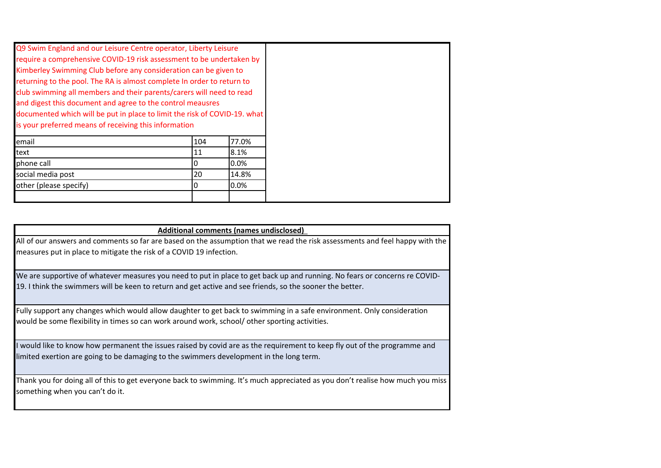| Additional comments (names undisclosed)                                                                                      |
|------------------------------------------------------------------------------------------------------------------------------|
| All of our answers and comments so far are based on the assumption that we read the risk assessments and feel happy with the |
| measures put in place to mitigate the risk of a COVID 19 infection.                                                          |

We are supportive of whatever measures you need to put in place to get back up and running. No fears or concerns re COVID-19. I think the swimmers will be keen to return and get active and see friends, so the sooner the better.

Fully support any changes which would allow daughter to get back to swimming in a safe environment. Only consideration would be some flexibility in times so can work around work, school/ other sporting activities.

I would like to know how permanent the issues raised by covid are as the requirement to keep fly out of the programme and limited exertion are going to be damaging to the swimmers development in the long term.

Thank you for doing all of this to get everyone back to swimming. It's much appreciated as you don't realise how much you miss something when you can't do it.